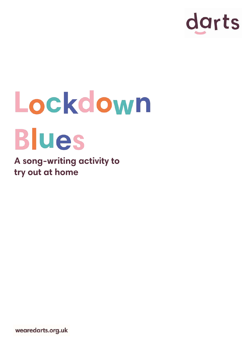

## Lockdown **Blues**

**A song-writing activity to try out at home**

wearedarts.org.uk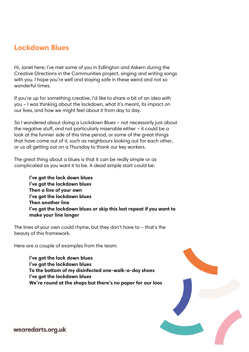## **Lockdown Blues**

Hi, Janet here; I've met some of you in Edlington and Askern during the Creative Directions in the Communities project, singing and writing songs with you. I hope you're well and staying safe in these weird and not so wonderful times.

If you're up for something creative, I'd like to share a bit of an idea with you – I was thinking about the lockdown, what it's meant, its impact on our lives, and how we might feel about it from day to day.

So I wondered about doing a Lockdown Blues – not necessarily just about the negative stuff, and not particularly miserable either – it could be a look at the funnier side of this time period, or some of the great things that have come out of it, such as neighbours looking out for each other, or us all getting out on a Thursday to thank our key workers.

The great thing about a blues is that it can be really simple or as complicated as you want it to be. A dead simple start could be:

> **I've got the lock down blues I've got the lockdown blues Then a line of your own I've got the lockdown blues Then another line I've got the lockdown blues or skip this last repeat if you want to make your line longer**

The lines of your own could rhyme, but they don't have to – that's the beauty of this framework.

Here are a couple of examples from the team:

**I've got the lock down blues I've got the lockdown blues To the bottom of my disinfected one-walk-a-day shoes I've got the lockdown blues We're round at the shops but there's no paper for our loos**



wearedarts.org.uk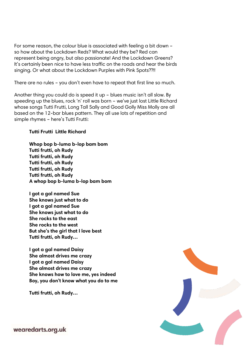For some reason, the colour blue is associated with feeling a bit down – so how about the Lockdown Reds? What would they be? Red can represent being angry, but also passionate! And the Lockdown Greens? It's certainly been nice to have less traffic on the roads and hear the birds singing. Or what about the Lockdown Purples with Pink Spots??!!

There are no rules – you don't even have to repeat that first line so much.

Another thing you could do is speed it up – blues music isn't all slow. By speeding up the blues, rock 'n' roll was born – we've just lost Little Richard whose songs Tutti Frutti, Long Tall Sally and Good Golly Miss Molly are all based on the 12-bar blues pattern. They all use lots of repetition and simple rhymes – here's Tutti Frutti:

## **Tutti Frutti Little Richard**

**Whop bop b-luma b-lop bam bom Tutti frutti, oh Rudy Tutti frutti, oh Rudy Tutti frutti, oh Rudy Tutti frutti, oh Rudy Tutti frutti, oh Rudy A whop bop b-luma b-lop bam bom**

**I got a gal named Sue She knows just what to do I got a gal named Sue She knows just what to do She rocks to the east She rocks to the west But she's the girl that I love best Tutti frutti, oh Rudy…**

**I got a gal named Daisy She almost drives me crazy I got a gal named Daisy She almost drives me crazy She knows how to love me, yes indeed Boy, you don't know what you do to me**

**Tutti frutti, oh Rudy…**



wearedarts.org.uk